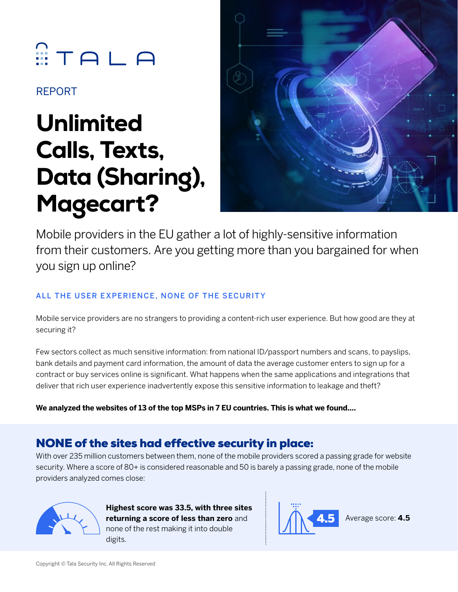# $T A L A$

REPORT

## Unlimited Calls, Texts, Data (Sharing), Magecart?



Mobile providers in the EU gather a lot of highly-sensitive information from their customers. Are you getting more than you bargained for when you sign up online?

#### All the user experience, none of the security

Mobile service providers are no strangers to providing a content-rich user experience. But how good are they at securing it?

Few sectors collect as much sensitive information: from national ID/passport numbers and scans, to payslips, bank details and payment card information, the amount of data the average customer enters to sign up for a contract or buy services online is significant. What happens when the same applications and integrations that deliver that rich user experience inadvertently expose this sensitive information to leakage and theft?

**We analyzed the websites of 13 of the top MSPs in 7 EU countries. This is what we found….**

## NONE of the sites had effective security in place:

With over 235 million customers between them, none of the mobile providers scored a passing grade for website security. Where a score of 80+ is considered reasonable and 50 is barely a passing grade, none of the mobile providers analyzed comes close:



**Highest score was 33.5, with three sites**  returning a score of less than zero and none of the rest making it into double digits.



Average score: **4.5**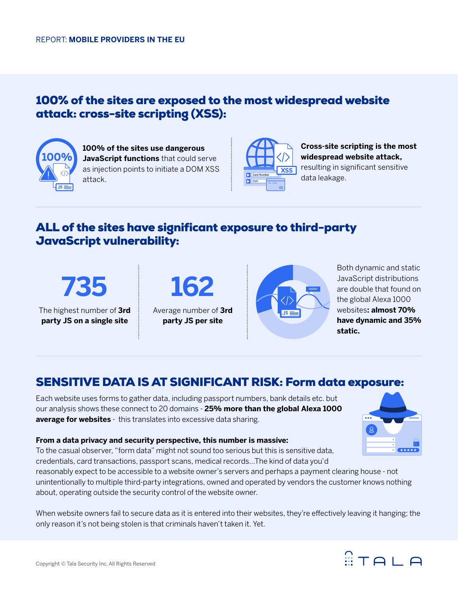#### 100% of the sites are exposed to the most widespread website attack: cross-site scripting (XSS):



**100% of the sites use dangerous JavaScript functions** that could serve as injection points to initiate a DOM XSS attack.



**Cross-site scripting is the most widespread website attack,**  resulting in significant sensitive data leakage.

### ALL of the sites have significant exposure to third-party JavaScript vulnerability:

**735**

The highest number of **3rd party JS on a single site**



Average number of **3rd party JS per site**



Both dynamic and static JavaScript distributions are double that found on the global Alexa 1000 websites**: almost 70% have dynamic and 35% static.**

#### SENSITIVE DATA IS AT SIGNIFICANT RISK: Form data exposure:

Each website uses forms to gather data, including passport numbers, bank details etc. but our analysis shows these connect to 20 domains - **25% more than the global Alexa 1000 average for websites** - this translates into excessive data sharing.



#### **From a data privacy and security perspective, this number is massive:**

To the casual observer, "form data" might not sound too serious but this is sensitive data, credentials, card transactions, passport scans, medical records…The kind of data you'd

reasonably expect to be accessible to a website owner's servers and perhaps a payment clearing house - not unintentionally to multiple third-party integrations, owned and operated by vendors the customer knows nothing about, operating outside the security control of the website owner.

When website owners fail to secure data as it is entered into their websites, they're effectively leaving it hanging; the only reason it's not being stolen is that criminals haven't taken it. Yet.